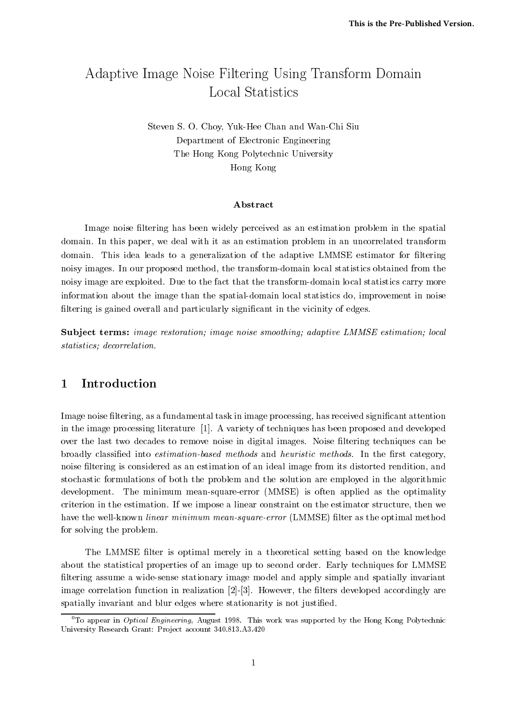# Adaptive Image Noise Filtering Using Transform Domain Local Statistics

Steven S. O. Choy, Yuk-Hee Chan and Wan-Chi Siu Department of Electronic Engineering The Hong Kong Polytechnic University Hong Kong

### Abstract

Image noise filtering has been widely perceived as an estimation problem in the spatial domain. In this paper, we deal with it as an estimation problem in an uncorrelated transform domain. This idea leads to a generalization of the adaptive LMMSE estimator for filtering noisy images. In our proposed method, the transform-domain local statistics obtained from the noisy image are exploited. Due to the fact that the transform-domain local statistics carry more information about the image than the spatial-domain local statistics do, improvement in noise filtering is gained overall and particularly significant in the vicinity of edges.

Subject terms: image restoration; image noise smoothing; adaptive LMMSE estimation; local statistics; decorrelation.

#### 1Introduction

Image noise ltering, as a fundamental task in image processing, has received signicant attention in the image processing literature [1]. A variety of techniques has been proposed and developed over the last two decades to remove noise in digital images. Noise filtering techniques can be broadly classified into *estimation-based methods* and *heuristic methods*. In the first category, noise ltering is considered as an estimation of an ideal image from its distorted rendition, and stochastic formulations of both the problem and the solution are employed in the algorithmic development. The minimum mean-square-error (MMSE) is often applied as the optimality criterion in the estimation. If we impose a linear constraint on the estimator structure, then we have the well-known *linear minimum mean-square-error* (LMMSE) filter as the optimal method for solving the problem.

The LMMSE filter is optimal merely in a theoretical setting based on the knowledge about the statistical properties of an image up to second order. Early techniques for LMMSE filtering assume a wide-sense stationary image model and apply simple and spatially invariant image correlation function in realization [2]-[3]. However, the filters developed accordingly are spatially invariant and blur edges where stationarity is not justied.

 $0$ To appear in *Optical Engineering*, August 1998. This work was supported by the Hong Kong Polytechnic University Research Grant: Project account 340.813.A3.420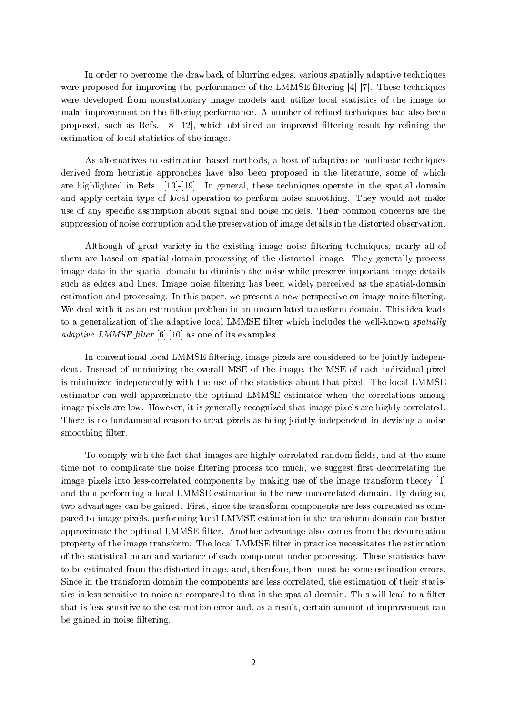In order to overcome the drawback of blurring edges, various spatially adaptive techniques were proposed for improving the performance of the LMMSE filtering  $[4]-[7]$ . These techniques were developed from nonstationary image models and utilize local statistics of the image to make improvement on the filtering performance. A number of refined techniques had also been proposed, such as Refs.  $[8]-[12]$ , which obtained an improved filtering result by refining the estimation of local statistics of the image.

As alternatives to estimation-based methods, a host of adaptive or nonlinear techniques derived from heuristic approaches have also been proposed in the literature, some of which are highlighted in Refs. [13]-[19]. In general, these techniques operate in the spatial domain and apply certain type of local operation to perform noise smoothing. They would not make use of any specic assumption about signal and noise models. Their common concerns are the suppression of noise corruption and the preservation of image details in the distorted observation.

Although of great variety in the existing image noise ltering techniques, nearly all of them are based on spatial-domain processing of the distorted image. They generally process image data in the spatial domain to diminish the noise while preserve important image details such as edges and lines. Image noise filtering has been widely perceived as the spatial-domain estimation and processing. In this paper, we present a new perspective on image noise filtering. We deal with it as an estimation problem in an uncorrelated transform domain. This idea leads to a generalization of the adaptive local LMMSE filter which includes the well-known spatially adaptive LMMSE filter  $[6], [10]$  as one of its examples.

In conventional local LMMSE filtering, image pixels are considered to be jointly independent. Instead of minimizing the overall MSE of the image, the MSE of each individual pixel is minimized independently with the use of the statistics about that pixel. The local LMMSE estimator can well approximate the optimal LMMSE estimator when the correlations among image pixels are low. However, it is generally recognized that image pixels are highly correlated. There is no fundamental reason to treat pixels as being jointly independent in devising a noise smoothing filter.

To comply with the fact that images are highly correlated random fields, and at the same time not to complicate the noise filtering process too much, we suggest first decorrelating the image pixels into less-correlated components by making use of the image transform theory [1] and then performing a local LMMSE estimation in the new uncorrelated domain. By doing so, two advantages can be gained. First, since the transform components are less correlated as compared to image pixels, performing local LMMSE estimation in the transform domain can better approximate the optimal LMMSE filter. Another advantage also comes from the decorrelation property of the image transform. The local LMMSE filter in practice necessitates the estimation of the statistical mean and variance of each component under processing. These statistics have to be estimated from the distorted image, and, therefore, there must be some estimation errors. Since in the transform domain the components are less correlated, the estimation of their statistics is less sensitive to noise as compared to that in the spatial-domain. This will lead to a filter that is less sensitive to the estimation error and, as a result, certain amount of improvement can be gained in noise filtering.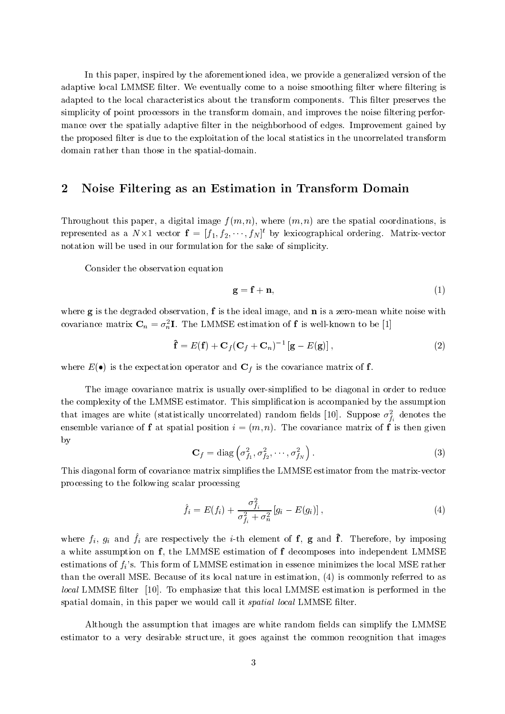In this paper, inspired by the aforementioned idea, we provide a generalized version of the adaptive local LMMSE filter. We eventually come to a noise smoothing filter where filtering is adapted to the local characteristics about the transform components. This filter preserves the simplicity of point processors in the transform domain, and improves the noise filtering performance over the spatially adaptive filter in the neighborhood of edges. Improvement gained by the proposed filter is due to the exploitation of the local statistics in the uncorrelated transform domain rather than those in the spatial-domain.

#### 2Noise Filtering as an Estimation in Transform Domain

Throughout this paper, a digital image  $f(m, n)$ , where  $(m, n)$  are the spatial coordinations, is represented as a  $N \times 1$  vector  $\mathbf{t} = [f_1, f_2, \cdots, f_N]^{\mathsf{T}}$  by lexicographical ordering. Matrix-vector notation will be used in our formulation for the sake of simplicity.

Consider the observation equation

$$
\mathbf{g} = \mathbf{f} + \mathbf{n},\tag{1}
$$

where  $g$  is the degraded observation, f is the ideal image, and  $n$  is a zero-mean white noise with covariance matrix  $\mathbf{C}_n = \sigma_n^2 \mathbf{I}$ . The LMMSE estimation of f is well-known to be [1]

$$
\hat{\mathbf{f}} = E(\mathbf{f}) + \mathbf{C}_f (\mathbf{C}_f + \mathbf{C}_n)^{-1} [\mathbf{g} - E(\mathbf{g})], \qquad (2)
$$

where  $E(\bullet)$  is the expectation operator and  $C_f$  is the covariance matrix of f.

The image covariance matrix is usually over-simplified to be diagonal in order to reduce the complexity of the LMMSE estimator. This simplication is accompanied by the assumption that images are white (statistically uncorrelated) random helds [10]. Suppose  $\sigma_{f_i}$  denotes the ensemble variance of f at spatial position  $i = (m, n)$ . The covariance matrix of f is then given by

$$
\mathbf{C}_f = \text{diag}\left(\sigma_{f_1}^2, \sigma_{f_2}^2, \cdots, \sigma_{f_N}^2\right). \tag{3}
$$

This diagonal form of covariance matrix simplies the LMMSE estimator from the matrix-vector processing to the following scalar processing

$$
\hat{f}_i = E(f_i) + \frac{\sigma_{f_i}^2}{\sigma_{f_i}^2 + \sigma_n^2} [g_i - E(g_i)], \qquad (4)
$$

where  $f_i$ ,  $g_i$  and  $f_i$  are respectively the  $i$ -th element of  $\bf{r}$ ,  $\bf{g}$  and  $\bf{r}$ . Therefore, by imposing a white assumption on f, the LMMSE estimation of f decomposes into independent LMMSE estimations of  $f_i$ 's. This form of LMMSE estimation in essence minimizes the local MSE rather than the overall MSE. Because of its local nature in estimation, (4) is commonly referred to as local LMMSE filter [10]. To emphasize that this local LMMSE estimation is performed in the spatial domain, in this paper we would call it *spatial local* LMMSE filter.

Although the assumption that images are white random fields can simplify the LMMSE estimator to a very desirable structure, it goes against the common recognition that images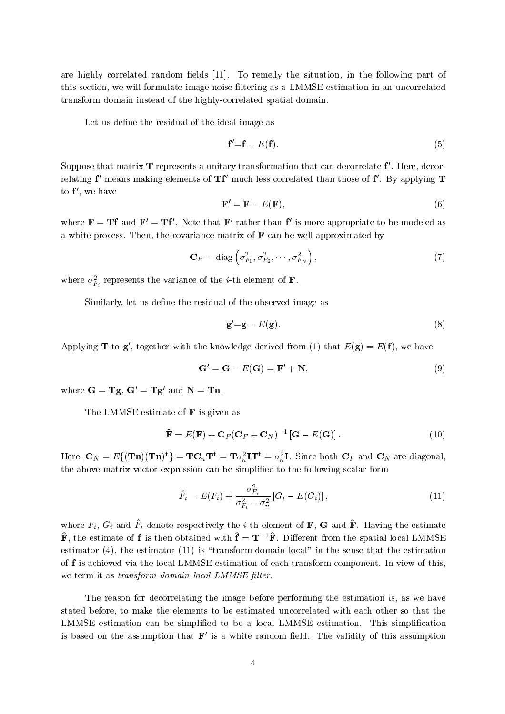are highly correlated random fields  $[11]$ . To remedy the situation, in the following part of this section, we will formulate image noise filtering as a LMMSE estimation in an uncorrelated transform domain instead of the highly-correlated spatial domain.

Let us define the residual of the ideal image as

$$
\mathbf{f}' = \mathbf{f} - E(\mathbf{f}).\tag{5}
$$

 $\sup$  suppose that matrix  $\bf 1$  represents a unitary transformation that can decorrelate  $\bf 1$  . Here, decorrelating F-means making elements of  ${\bf H}$  much less correlated than those of F-Dy applying  ${\bf T}$ to f 0, we have

$$
\mathbf{F}' = \mathbf{F} - E(\mathbf{F}),\tag{6}
$$

where  $\mathbf{F} = \mathbf{I}$  and  $\mathbf{F} = \mathbf{I}$  is note that  $\mathbf{F}$  rather than is more appropriate to be modeled as a white process. Then, the covariance matrix of  $\bf{F}$  can be well approximated by

$$
\mathbf{C}_F = \text{diag}\left(\sigma_{F_1}^2, \sigma_{F_2}^2, \cdots, \sigma_{F_N}^2\right),\tag{7}
$$

where  $\sigma_{F_i}$  represents the variance of the *i*-th element of **F**.

Similarly, let us define the residual of the observed image as

$$
\mathbf{g}' = \mathbf{g} - E(\mathbf{g}).\tag{8}
$$

Applying **T** to **g**', together with the knowledge derived from (1) that  $E(g) = E(f)$ , we have

$$
\mathbf{G}' = \mathbf{G} - E(\mathbf{G}) = \mathbf{F}' + \mathbf{N},\tag{9}
$$

where  $G = Tg$ ,  $G' = Tg'$  and  $N = Tn$ .

The LMMSE estimate of **F** is given as

$$
\hat{\mathbf{F}} = E(\mathbf{F}) + \mathbf{C}_F (\mathbf{C}_F + \mathbf{C}_N)^{-1} [\mathbf{G} - E(\mathbf{G})]. \tag{10}
$$

Here,  ${\bf C}_N=E\{({\bf Tn})({\bf Tn})^{\bf t}\}={\bf T}{\bf C}_n{\bf T^t}={\bf T}\sigma_n^2{\bf I}{\bf T^t}=\sigma_n^2{\bf I}.$  Since both  ${\bf C}_F$  and  ${\bf C}_N$  are diagonal, the above matrix-vector expression can be simplified to the following scalar form

$$
\hat{F}_i = E(F_i) + \frac{\sigma_{F_i}^2}{\sigma_{F_i}^2 + \sigma_n^2} [G_i - E(G_i)],
$$
\n(11)

where  $F_i$ ,  $G_i$  and  $F_i$  denote respectively the *i*-th element of  $\mathbf{r}$ ,  $\mathbf{G}$  and  $\mathbf{r}$ . Having the estimate  $\mathbf{\hat{F}}$ , the estimate of f is then obtained with  $\mathbf{\hat{f}} = \mathbf{T}^{-1}\mathbf{\hat{F}}$ . Different from the spatial local LMMSE estimator (4), the estimator (11) is "transform-domain local" in the sense that the estimation of f is achieved via the local LMMSE estimation of each transform component. In view of this, we term it as *transform-domain local LMMSE filter*.

The reason for decorrelating the image before performing the estimation is, as we have stated before, to make the elements to be estimated uncorrelated with each other so that the LMMSE estimation can be simplied to be a local LMMSE estimation. This simplication is based on the assumption that  $F'$  is a white random field. The validity of this assumption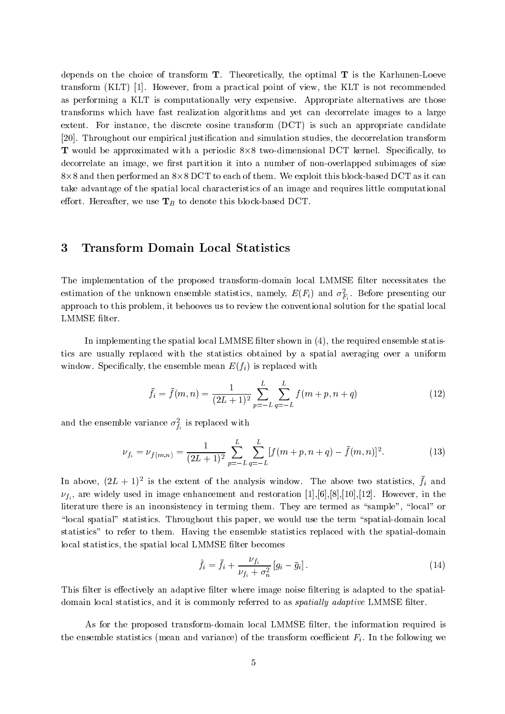depends on the choice of transform  $T$ . Theoretically, the optimal  $T$  is the Karhunen-Loeve transform (KLT) [1]. However, from a practical point of view, the KLT is not recommended as performing a KLT is computationally very expensive. Appropriate alternatives are those transforms which have fast realization algorithms and yet can decorrelate images to a large extent. For instance, the discrete cosine transform (DCT) is such an appropriate candidate [20]. Throughout our empirical justification and simulation studies, the decorrelation transform T would be approximated with a periodic 8-8 two-dimensional DCT kernel.Specically, to decorrelate an image, we first partition it into a number of non-overlapped subimages of size 8 $\times$ 8 and then performed an 8 $\times$ 8 DCT to each of them. We exploit this block-based DCT as it can take advantage of the spatial local characteristics of an image and requires little computational effort. Hereafter, we use  $T_B$  to denote this block-based DCT.

#### 3Transform Domain Local Statistics

The implementation of the proposed transform-domain local LMMSE filter necessitates the estimation of the unknown ensemble statistics, namely,  $E(\mathbf{r}_i)$  and  $\sigma_{\mathbf{F}_i}$ . Before presenting our approach to this problem, it behooves us to review the conventional solution for the spatial local LMMSE filter.

In implementing the spatial local LMMSE filter shown in  $(4)$ , the required ensemble statistics are usually replaced with the statistics obtained by a spatial averaging over a uniform window. Specifically, the ensemble mean  $E(f_i)$  is replaced with

$$
\bar{f}_i = \bar{f}(m, n) = \frac{1}{(2L+1)^2} \sum_{p=-L}^{L} \sum_{q=-L}^{L} f(m+p, n+q)
$$
\n(12)

and the ensemble variance  $\sigma_{f_i}$  is replaced with

$$
\nu_{f_i} = \nu_{f(m,n)} = \frac{1}{(2L+1)^2} \sum_{p=-L}^{L} \sum_{q=-L}^{L} [f(m+p, n+q) - \bar{f}(m, n)]^2.
$$
 (13)

In above,  $(ZL + I)^2$  is the extent of the analysis window. The above two statistics,  $f_i$  and  $\nu_{f_i}$ , are widely used in image enhancement and restoration [1], [6], [8], [10], [12]. However, in the literature there is an inconsistency in terming them. They are termed as "sample", "local" or "local spatial" statistics. Throughout this paper, we would use the term "spatial-domain local statistics" to refer to them. Having the ensemble statistics replaced with the spatial-domain local statistics, the spatial local LMMSE filter becomes

$$
\hat{f}_i = \bar{f}_i + \frac{\nu_{f_i}}{\nu_{f_i} + \sigma_n^2} \left[ g_i - \bar{g}_i \right]. \tag{14}
$$

This filter is effectively an adaptive filter where image noise filtering is adapted to the spatialdomain local statistics, and it is commonly referred to as *spatially adaptive* LMMSE filter.

As for the proposed transform-domain local LMMSE filter, the information required is the ensemble statistics (mean and variance) of the transform coefficient  $F_i$ . In the following we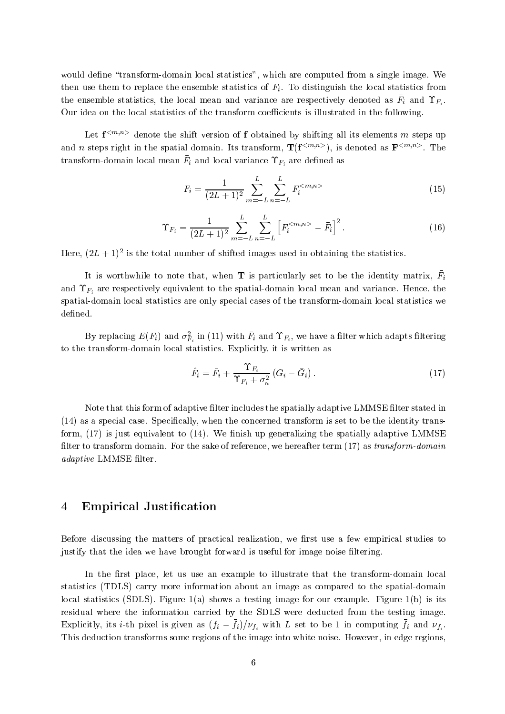would define "transform-domain local statistics", which are computed from a single image. We then use them to replace the ensemble statistics of  $F_i$ . To distinguish the local statistics from the ensemble statistics, the local ineall and variance are respectively denoted as  $F_i$  and  $F_i$ . Our idea on the local statistics of the transform coefficients is illustrated in the following.

Let  $f^{}$  denote the shift version of f obtained by shifting all its elements m steps up and n steps right in the spatial domain. Its transform,  $\mathbf{I}(\mathbf{I}^{(m),m})$ , is denoted as  $\mathbf{F}^{(m),m}$ . The  $\tau$  ansform-domain focal mean  $\Gamma_l$  and focal variance  $\Gamma_{l_i}$  are defined as

$$
\bar{F}_i = \frac{1}{(2L+1)^2} \sum_{m=-L}^{L} \sum_{n=-L}^{L} F_i^{} \tag{15}
$$

$$
\Upsilon_{F_i} = \frac{1}{(2L+1)^2} \sum_{m=-L}^{L} \sum_{n=-L}^{L} \left[ F_i^{} - \bar{F}_i \right]^2.
$$
 (16)

Here,  $(ZL+1)^2$  is the total number of shifted images used in obtaining the statistics.

It is worthwhile to note that, when **T** is particularly set to be the identity matrix,  $\bar{F}_i$ in the company of the company of the and  $\Upsilon_{F_i}$  are respectively equivalent to the spatial-domain local mean and variance. Hence, the spatial-domain local statistics are only special cases of the transform-domain local statistics we defined.

By replacing  $E(F_i)$  and  $\sigma_{F_i}$  in (11) with  $F_i$  and  $\Gamma_{F_i}$ , we have a miter which adapts intering to the transform-domain local statistics. Explicitly, it is written as

$$
\hat{F}_i = \bar{F}_i + \frac{\Upsilon_{F_i}}{\Upsilon_{F_i} + \sigma_n^2} \left( G_i - \bar{G}_i \right). \tag{17}
$$

Note that this form of adaptive filter includes the spatially adaptive LMMSE filter stated in (14) as a special case. Specically, when the concerned transform is set to be the identity transform,  $(17)$  is just equivalent to  $(14)$ . We finish up generalizing the spatially adaptive LMMSE filter to transform domain. For the sake of reference, we hereafter term  $(17)$  as transform-domain adaptive LMMSE filter.

#### 4Empirical Justification

Before discussing the matters of practical realization, we first use a few empirical studies to justify that the idea we have brought forward is useful for image noise filtering.

In the first place, let us use an example to illustrate that the transform-domain local statistics (TDLS) carry more information about an image as compared to the spatial-domain local statistics (SDLS). Figure  $1(a)$  shows a testing image for our example. Figure  $1(b)$  is its residual where the information carried by the SDLS were deducted from the testing image. Explicitly, its *i*-th pixel is given as  $(j_i - j_i)/\nu_{f_i}$  with L set to be 1 in computing  $j_i$  and  $\nu_{f_i}$ . This deduction transforms some regions of the image into white noise. However, in edge regions,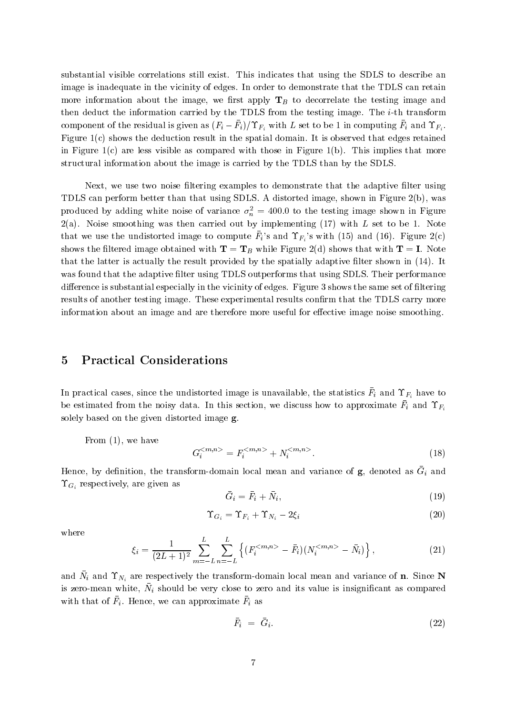substantial visible correlations still exist. This indicates that using the SDLS to describe an image is inadequate in the vicinity of edges. In order to demonstrate that the TDLS can retain more information about the image, we first apply  $T_B$  to decorrelate the testing image and then deduct the information carried by the TDLS from the testing image. The i-th transform component of the residual is given as  $(F_i - F_i)/F_i$  with L set to be 1 in computing  $F_i$  and  $F_i$ . Figure  $1(c)$  shows the deduction result in the spatial domain. It is observed that edges retained in Figure  $1(c)$  are less visible as compared with those in Figure  $1(b)$ . This implies that more structural information about the image is carried by the TDLS than by the SDLS.

Next, we use two noise filtering examples to demonstrate that the adaptive filter using TDLS can perform better than that using SDLS. A distorted image, shown in Figure 2(b), was produced by adding white noise of variance  $\sigma_n^2 = 400.0$  to the testing image shown in Figure  $2(a)$ . Noise smoothing was then carried out by implementing (17) with L set to be 1. Note that we use the undistorted image to compute  $F_i$ 's and  $\Upsilon_{F_i}$ 's with (15) and (16). Figure 2(c) shows the filtered image obtained with  $T = T_B$  while Figure 2(d) shows that with  $T = I$ . Note that the latter is actually the result provided by the spatially adaptive filter shown in  $(14)$ . It was found that the adaptive filter using TDLS outperforms that using SDLS. Their performance difference is substantial especially in the vicinity of edges. Figure 3 shows the same set of filtering results of another testing image. These experimental results confirm that the TDLS carry more information about an image and are therefore more useful for effective image noise smoothing.

#### 5Practical Considerations

In practical cases, since the undistorted image is unavailable, the statistics  $F_i$  and  $\Gamma F_i$  have to be estimated from the noisy data. In this section, we discuss how to approximate  $\Gamma_i$  and  $\Gamma F_i$ solely based on the given distorted image  $g$ .<br>From  $(1)$ , we have

$$
G_i^{} = F_i^{} + N_i^{}.
$$
\n(18)

Hence, by definition, the transform-domain local mean and variance or  $\mathbf{g}$ , denoted as  $\mathbf{G}_i$  and  $\Upsilon_{G_i}$  respectively, are given as

$$
\bar{G}_i = \bar{F}_i + \bar{N}_i,\tag{19}
$$

$$
\Upsilon_{G_i} = \Upsilon_{F_i} + \Upsilon_{N_i} - 2\xi_i \tag{20}
$$

where

$$
\xi_i = \frac{1}{(2L+1)^2} \sum_{m=-L}^{L} \sum_{n=-L}^{L} \left\{ (F_i^{- \bar{F}_i)(N_i^{- \bar{N}_i) \right\},\tag{21}
$$

and  $N_i$  and  $N_i$  are respectively the transform-domain local mean and variance of **n**. Since  $N$ is zero-mean white,  $N_l$  should be very close to zero and its value is insignificant as compared with that of  $F_i$ . Hence, we can approximate  $F_i$  as

$$
\bar{F}_i = \bar{G}_i. \tag{22}
$$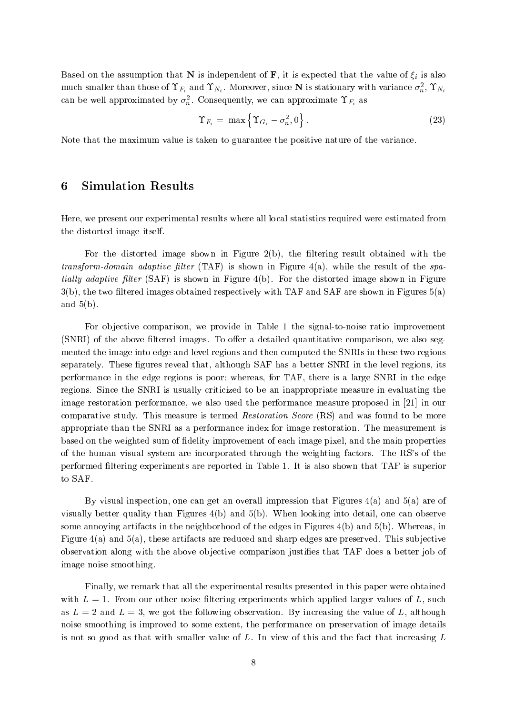Based on the assumption that N is independent of F, it is expected that the value of  $\xi_i$  is also much smaller than those of  $\Upsilon_{F_i}$  and  $\Upsilon_{N_i}$ . Moreover, since **N** is stationary with variance  $\sigma_n^2$ ,  $\Upsilon_{N_i}$ can be well approximated by  $\sigma_n^2$ . Consequently, we can approximate  $\Upsilon_{F_i}$  as

$$
\Upsilon_{F_i} = \max \left\{ \Upsilon_{G_i} - \sigma_n^2, 0 \right\}.
$$
\n(23)

Note that the maximum value is taken to guarantee the positive nature of the variance.

#### 6Simulation Results

Here, we present our experimental results where all local statistics required were estimated from the distorted image itself.

For the distorted image shown in Figure  $2(b)$ , the filtering result obtained with the transform-domain adaptive filter (TAF) is shown in Figure 4(a), while the result of the spa*tially adaptive filter* (SAF) is shown in Figure 4(b). For the distorted image shown in Figure  $3(b)$ , the two filtered images obtained respectively with TAF and SAF are shown in Figures  $5(a)$ and  $5(b)$ .

For objective comparison, we provide in Table 1 the signal-to-noise ratio improvement  $(SNRI)$  of the above filtered images. To offer a detailed quantitative comparison, we also segmented the image into edge and level regions and then computed the SNRIs in these two regions separately. These figures reveal that, although SAF has a better SNRI in the level regions, its performance in the edge regions is poor; whereas, for TAF, there is a large SNRI in the edge regions. Since the SNRI is usually criticized to be an inappropriate measure in evaluating the image restoration performance, we also used the performance measure proposed in [21] in our comparative study. This measure is termed Restoration Score (RS) and was found to be more appropriate than the SNRI as a performance index for image restoration. The measurement is based on the weighted sum of delity improvement of each image pixel, and the main properties of the human visual system are incorporated through the weighting factors. The RS's of the performed ltering experiments are reported in Table 1. It is also shown that TAF is superior to SAF.

By visual inspection, one can get an overall impression that Figures  $4(a)$  and  $5(a)$  are of visually better quality than Figures 4(b) and 5(b). When looking into detail, one can observe some annoying artifacts in the neighborhood of the edges in Figures 4(b) and 5(b). Whereas, in Figure  $4(a)$  and  $5(a)$ , these artifacts are reduced and sharp edges are preserved. This subjective observation along with the above ob jective comparison justies that TAF does a better job of image noise smoothing.

Finally, we remark that all the experimental results presented in this paper were obtained with  $L = 1$ . From our other noise filtering experiments which applied larger values of L, such as  $L = 2$  and  $L = 3$ , we got the following observation. By increasing the value of L, although noise smoothing is improved to some extent, the performance on preservation of image details is not so good as that with smaller value of  $L$ . In view of this and the fact that increasing  $L$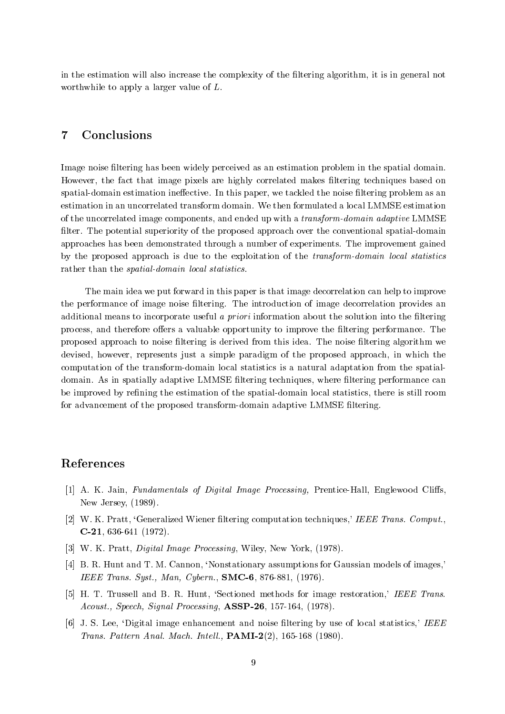in the estimation will also increase the complexity of the filtering algorithm, it is in general not worthwhile to apply a larger value of L.

#### 7Conclusions

Image noise filtering has been widely perceived as an estimation problem in the spatial domain. However, the fact that image pixels are highly correlated makes filtering techniques based on spatial-domain estimation ineffective. In this paper, we tackled the noise filtering problem as an estimation in an uncorrelated transform domain. We then formulated a local LMMSE estimation of the uncorrelated image components, and ended up with a transform-domain adaptive LMMSE filter. The potential superiority of the proposed approach over the conventional spatial-domain approaches has been demonstrated through a number of experiments. The improvement gained by the proposed approach is due to the exploitation of the transform-domain local statistics rather than the *spatial-domain local statistics*.

The main idea we put forward in this paper is that image decorrelation can help to improve the performance of image noise filtering. The introduction of image decorrelation provides an additional means to incorporate useful a *priori* information about the solution into the filtering process, and therefore offers a valuable opportunity to improve the filtering performance. The proposed approach to noise ltering is derived from this idea. The noise ltering algorithm we devised, however, represents just a simple paradigm of the proposed approach, in which the computation of the transform-domain local statistics is a natural adaptation from the spatialdomain. As in spatially adaptive LMMSE filtering techniques, where filtering performance can be improved by refining the estimation of the spatial-domain local statistics, there is still room for advancement of the proposed transform-domain adaptive LMMSE ltering.

## References

- [1] A. K. Jain, Fundamentals of Digital Image Processing, Prentice-Hall, Englewood Cliffs, New Jersey, (1989).
- [2] W. K. Pratt, 'Generalized Wiener filtering computation techniques,' IEEE Trans. Comput., C-21, 636-641 (1972).
- [3] W. K. Pratt, *Digital Image Processing*, Wiley, New York, (1978).
- [4] B. R. Hunt and T. M. Cannon, 'Nonstationary assumptions for Gaussian models of images,' IEEE Trans. Syst., Man, Cybern., SMC-6, 876-881, (1976).
- [5] H. T. Trussell and B. R. Hunt, 'Sectioned methods for image restoration,' IEEE Trans. Acoust., Speech, Signal Processing, **ASSP-26**, 157-164, (1978).
- [6] J. S. Lee, `Digital image enhancement and noise ltering by use of local statistics,' IEEE Trans. Pattern Anal. Mach. Intell.,  $\text{PAMI-2}(2)$ , 165-168 (1980).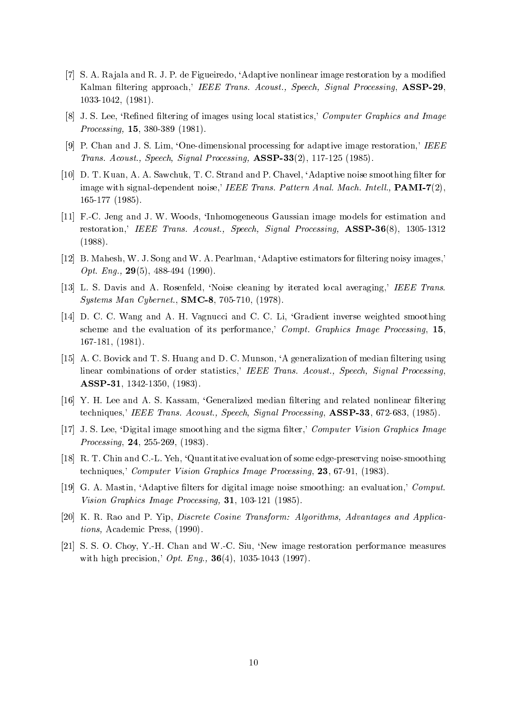- [7] S. A. Rajala and R. J. P. de Figueiredo, 'Adaptive nonlinear image restoration by a modified Kalman filtering approach,' IEEE Trans. Acoust., Speech, Signal Processing, ASSP-29. 1033-1042, (1981).
- [8] J. S. Lee, 'Refined filtering of images using local statistics,' Computer Graphics and Image Processing, 15, 380-389 (1981).
- [9] P. Chan and J. S. Lim, 'One-dimensional processing for adaptive image restoration,' IEEE Trans. Acoust., Speech, Signal Processing, ASSP-33(2), 117-125 (1985).
- [10] D. T. Kuan, A. A. Sawchuk, T. C. Strand and P. Chavel, 'Adaptive noise smoothing filter for image with signal-dependent noise,' IEEE Trans. Pattern Anal. Mach. Intell.,  $PAMI-7(2)$ , 165-177 (1985).
- [11] F.-C. Jeng and J. W. Woods, `Inhomogeneous Gaussian image models for estimation and restoration,' IEEE Trans. Acoust., Speech, Signal Processing, ASSP-36(8), 1305-1312 (1988).
- [12] B. Mahesh, W. J. Song and W. A. Pearlman, 'Adaptive estimators for filtering noisy images,' Opt. Eng.,  $29(5)$ ,  $488-494$  (1990).
- [13] L. S. Davis and A. Rosenfeld, `Noise cleaning by iterated local averaging,' IEEE Trans. Systems Man Cybernet., SMC-8, 705-710, (1978).
- [14] D. C. C. Wang and A. H. Vagnucci and C. C. Li, `Gradient inverse weighted smoothing scheme and the evaluation of its performance,' Compt. Graphics Image Processing, 15, 167-181, (1981).
- [15] A. C. Bovick and T. S. Huang and D. C. Munson, 'A generalization of median filtering using linear combinations of order statistics,' IEEE Trans. Acoust., Speech, Signal Processing, ASSP-31, 1342-1350, (1983).
- [16] Y. H. Lee and A. S. Kassam, 'Generalized median filtering and related nonlinear filtering techniques,' IEEE Trans. Acoust., Speech, Signal Processing, ASSP-33, 672-683, (1985).
- [17] J. S. Lee, 'Digital image smoothing and the sigma filter,' Computer Vision Graphics Image Processing, 24, 255-269, (1983).
- [18] R. T. Chin and C.-L. Yeh, `Quantitative evaluation of some edge-preserving noise-smoothing techniques,' Computer Vision Graphics Image Processing, 23, 67-91, (1983).
- [19] G. A. Mastin, 'Adaptive filters for digital image noise smoothing: an evaluation,' Comput. Vision Graphics Image Processing, 31, 103-121 (1985).
- [20] K. R. Rao and P. Yip, Discrete Cosine Transform: Algorithms, Advantages and Applications, Academic Press, (1990).
- [21] S. S. O. Choy, Y.-H. Chan and W.-C. Siu, `New image restoration performance measures with high precision,'  $Opt.$  Eng.,  $36(4)$ , 1035-1043 (1997).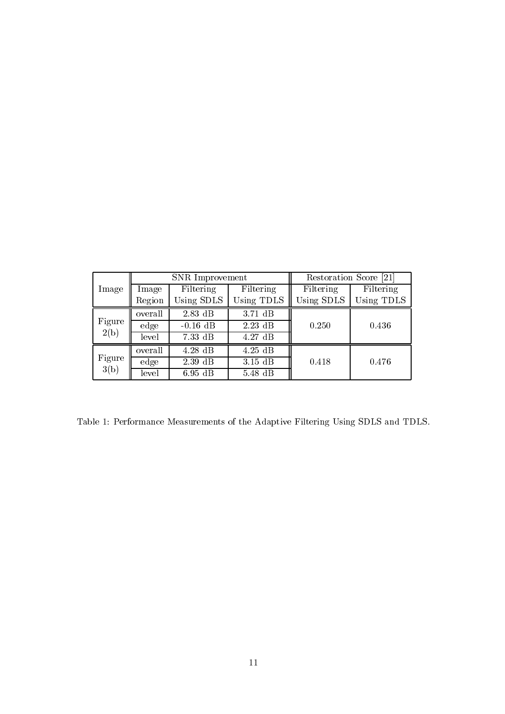| lmage          | SNR Improvement |            |            | Restoration Score [21] |            |
|----------------|-----------------|------------|------------|------------------------|------------|
|                | Image           | Filtering  | Filtering  | Filtering              | Filtering  |
|                | Region          | Using SDLS | Using TDLS | Using SDLS             | Using TDLS |
| Figure<br>2(b) | overall         | $2.83$ dB  | $3.71$ dB  | 0.250                  | 0.436      |
|                | edge            | $-0.16$ dB | $2.23$ dB  |                        |            |
|                | level           | $7.33$ dB  | 4.27dB     |                        |            |
| Figure<br>3(b) | overall         | $4.28$ dB  | $4.25$ dB  |                        |            |
|                | edge            | $2.39$ dB  | $3.15$ dB  | 0.418                  | 0.476      |
|                | level           | $6.95$ dB  | 5.48 dB    |                        |            |

Table 1: Performance Measurements of the Adaptive Filtering Using SDLS and TDLS.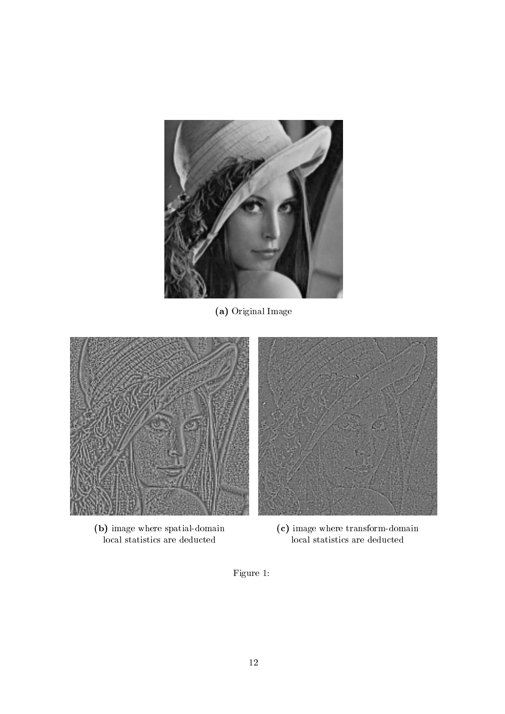

(a) Original Image





(b) image where spatial-domain (c) image where transform-domain local statistics are deducted local statistics are deducted

Figure 1: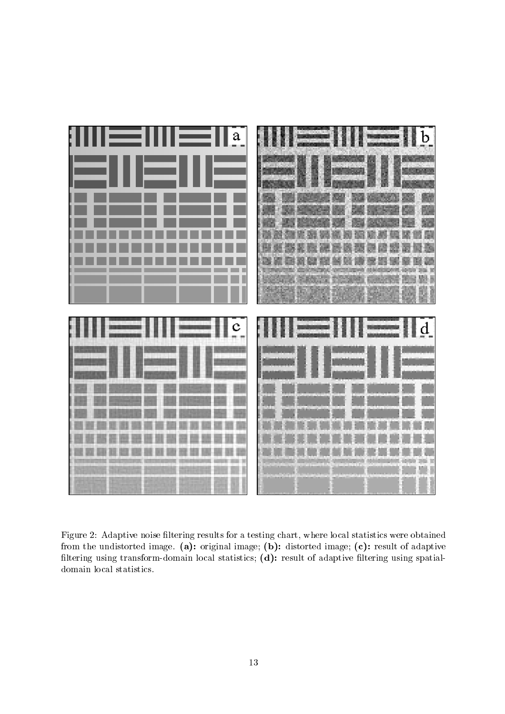

Figure 2: Adaptive noise filtering results for a testing chart, where local statistics were obtained from the undistorted image. (a): original image; (b): distorted image; (c): result of adaptive filtering using transform-domain local statistics; (d): result of adaptive filtering using spatialdomain local statistics.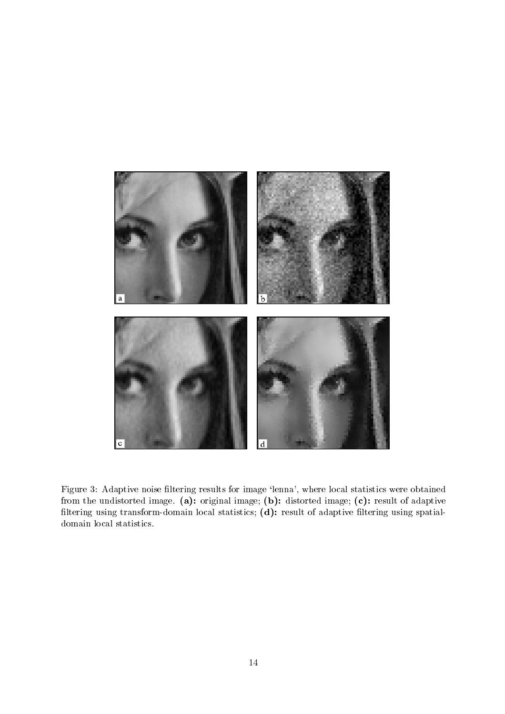

Figure 3: Adaptive noise filtering results for image 'lenna', where local statistics were obtained from the undistorted image. (a): original image; (b): distorted image; (c): result of adaptive filtering using transform-domain local statistics; (d): result of adaptive filtering using spatialdomain local statistics.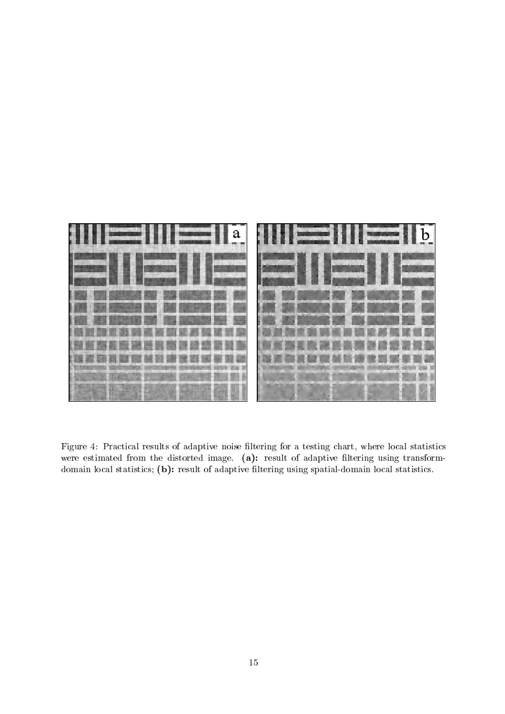

Figure 4: Practical results of adaptive noise filtering for a testing chart, where local statistics were estimated from the distorted image. (a): result of adaptive filtering using transformdomain local statistics; (b): result of adaptive filtering using spatial-domain local statistics.